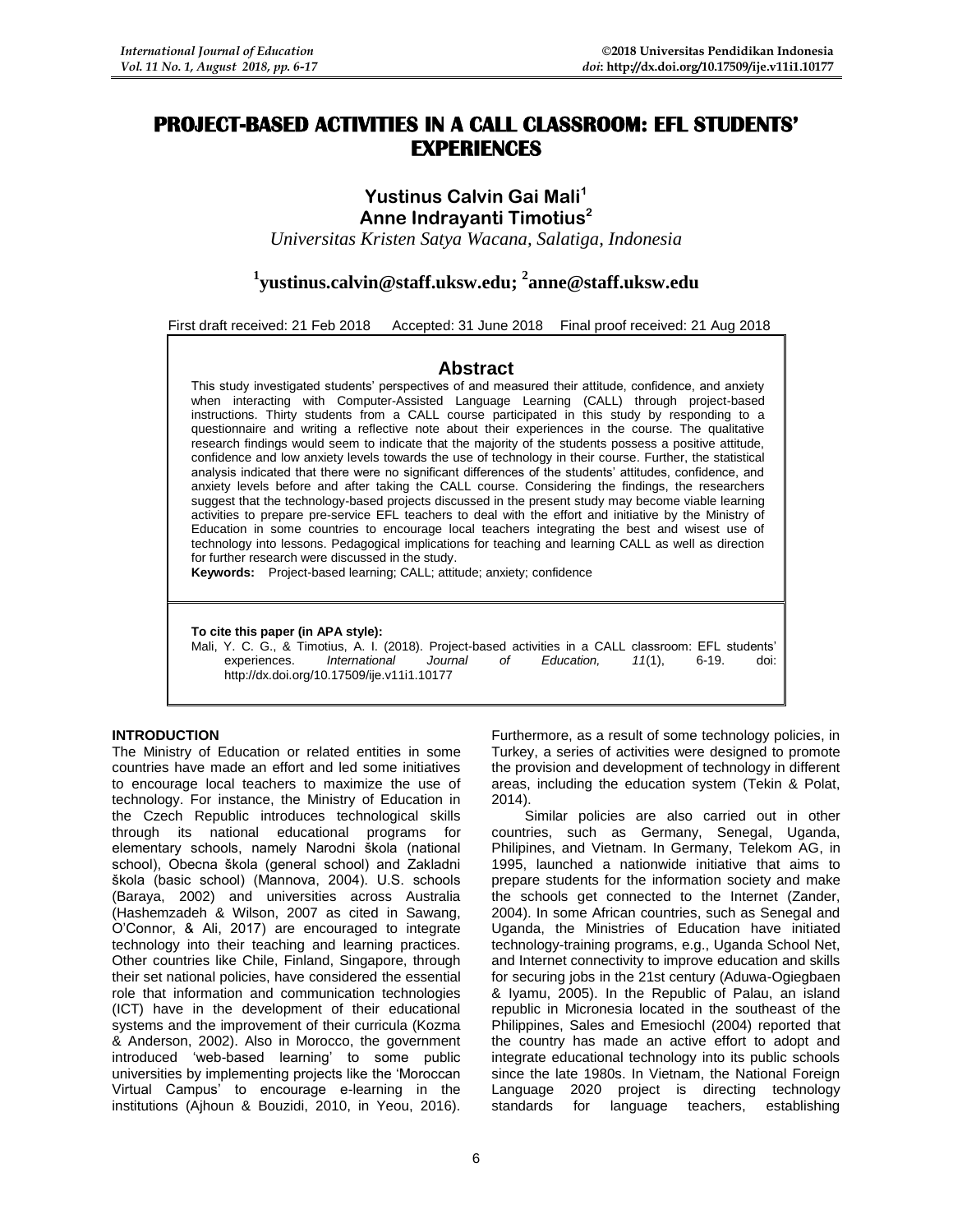# **PROJECT-BASED ACTIVITIES IN A CALL CLASSROOM: EFL STUDENTS' EXPERIENCES**

# **Yustinus Calvin Gai Mali<sup>1</sup> Anne Indrayanti Timotius<sup>2</sup>**

*Universitas Kristen Satya Wacana, Salatiga, Indonesia*

# **1 [yustinus.calvin@staff.uksw.edu;](mailto:yustinus.calvin@staff.uksw.edu) <sup>2</sup> [anne@staff.uksw.edu](mailto:anne@staff.uksw.edu)**

First draft received: 21 Feb 2018 Accepted: 31 June 2018 Final proof received: 21 Aug 2018

# **Abstract**

This study investigated students' perspectives of and measured their attitude, confidence, and anxiety when interacting with Computer-Assisted Language Learning (CALL) through project-based instructions. Thirty students from a CALL course participated in this study by responding to a questionnaire and writing a reflective note about their experiences in the course. The qualitative research findings would seem to indicate that the majority of the students possess a positive attitude, confidence and low anxiety levels towards the use of technology in their course. Further, the statistical analysis indicated that there were no significant differences of the students' attitudes, confidence, and anxiety levels before and after taking the CALL course. Considering the findings, the researchers suggest that the technology-based projects discussed in the present study may become viable learning activities to prepare pre-service EFL teachers to deal with the effort and initiative by the Ministry of Education in some countries to encourage local teachers integrating the best and wisest use of technology into lessons. Pedagogical implications for teaching and learning CALL as well as direction for further research were discussed in the study.

**Keywords:** Project-based learning; CALL; attitude; anxiety; confidence

**To cite this paper (in APA style):**

Mali, Y. C. G., & Timotius, A. I. (2018). Project-based activities in a CALL classroom: EFL students'<br>experiences. *International Journal of Education*. 11(1). 6-19. doi:  $experiments.$ http://dx.doi.org/10.17509/ije.v11i1.10177

# **INTRODUCTION**

The Ministry of Education or related entities in some countries have made an effort and led some initiatives to encourage local teachers to maximize the use of technology. For instance, the Ministry of Education in the Czech Republic introduces technological skills through its national educational programs for elementary schools, namely Narodni škola (national school), Obecna škola (general school) and Zakladni škola (basic school) (Mannova, 2004). U.S. schools (Baraya, 2002) and universities across Australia (Hashemzadeh & Wilson, 2007 as cited in Sawang, O'Connor, & Ali, 2017) are encouraged to integrate technology into their teaching and learning practices. Other countries like Chile, Finland, Singapore, through their set national policies, have considered the essential role that information and communication technologies (ICT) have in the development of their educational systems and the improvement of their curricula (Kozma & Anderson, 2002). Also in Morocco, the government introduced 'web-based learning' to some public universities by implementing projects like the 'Moroccan Virtual Campus' to encourage e-learning in the institutions (Ajhoun & Bouzidi, 2010, in Yeou, 2016).

Furthermore, as a result of some technology policies, in Turkey, a series of activities were designed to promote the provision and development of technology in different areas, including the education system (Tekin & Polat, 2014).

Similar policies are also carried out in other countries, such as Germany, Senegal, Uganda, Philipines, and Vietnam. In Germany, Telekom AG, in 1995, launched a nationwide initiative that aims to prepare students for the information society and make the schools get connected to the Internet (Zander, 2004). In some African countries, such as Senegal and Uganda, the Ministries of Education have initiated technology-training programs, e.g., Uganda School Net, and Internet connectivity to improve education and skills for securing jobs in the 21st century (Aduwa-Ogiegbaen & Iyamu, 2005). In the Republic of Palau, an island republic in Micronesia located in the southeast of the Philippines, Sales and Emesiochl (2004) reported that the country has made an active effort to adopt and integrate educational technology into its public schools since the late 1980s. In Vietnam, the National Foreign Language 2020 project is directing technology standards for language teachers, establishing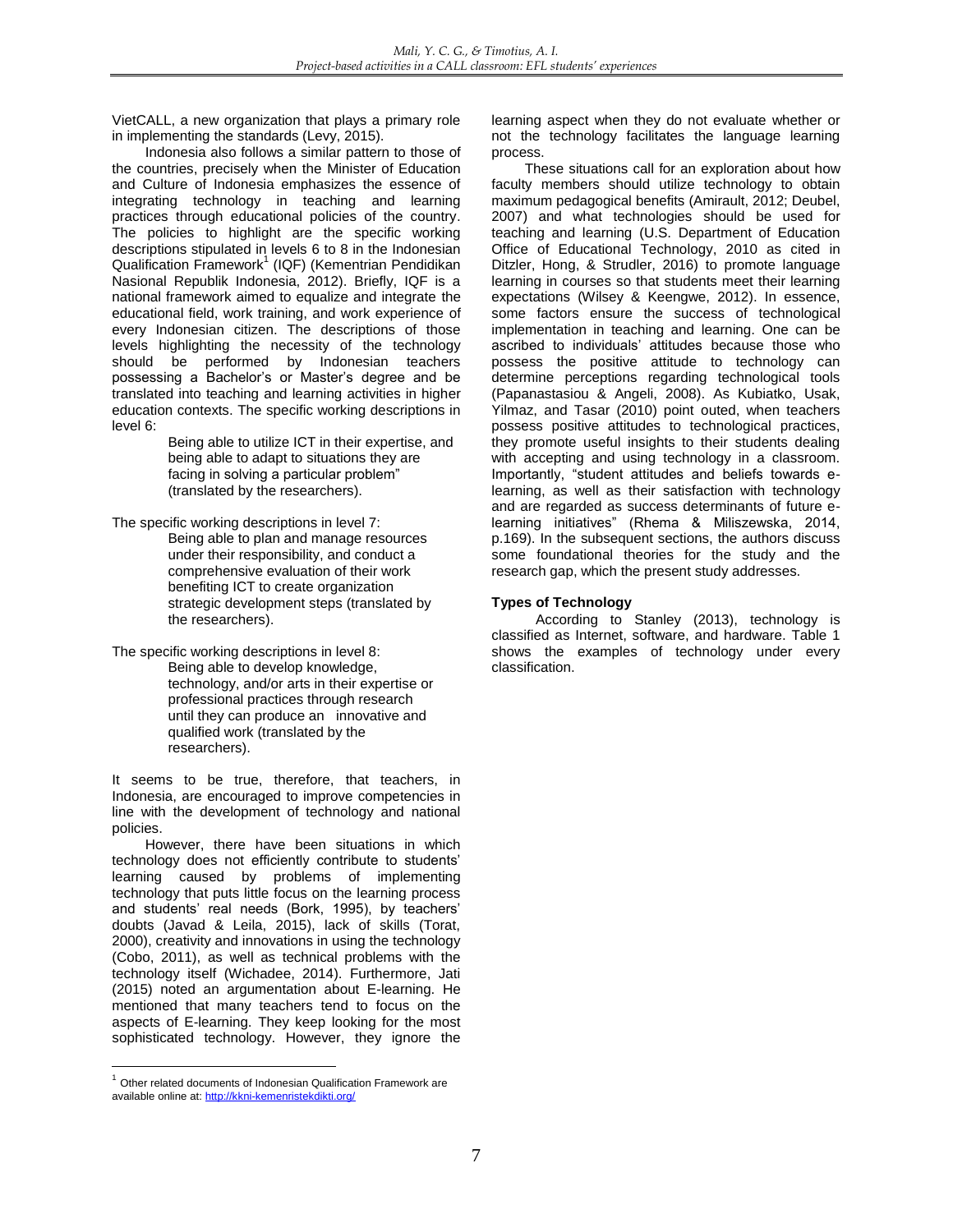VietCALL, a new organization that plays a primary role in implementing the standards (Levy, 2015).

Indonesia also follows a similar pattern to those of the countries, precisely when the Minister of Education and Culture of Indonesia emphasizes the essence of integrating technology in teaching and learning practices through educational policies of the country. The policies to highlight are the specific working descriptions stipulated in levels 6 to 8 in the Indonesian Qualification Framework<sup>1</sup> (IQF) (Kementrian Pendidikan Nasional Republik Indonesia, 2012). Briefly, IQF is a national framework aimed to equalize and integrate the educational field, work training, and work experience of every Indonesian citizen. The descriptions of those levels highlighting the necessity of the technology should be performed by Indonesian teachers possessing a Bachelor's or Master's degree and be translated into teaching and learning activities in higher education contexts. The specific working descriptions in level 6:

Being able to utilize ICT in their expertise, and being able to adapt to situations they are facing in solving a particular problem" (translated by the researchers).

The specific working descriptions in level 7: Being able to plan and manage resources under their responsibility, and conduct a comprehensive evaluation of their work benefiting ICT to create organization strategic development steps (translated by the researchers).

The specific working descriptions in level 8: Being able to develop knowledge, technology, and/or arts in their expertise or professional practices through research until they can produce an innovative and qualified work (translated by the researchers).

It seems to be true, therefore, that teachers, in Indonesia, are encouraged to improve competencies in line with the development of technology and national policies.

However, there have been situations in which technology does not efficiently contribute to students' learning caused by problems of implementing technology that puts little focus on the learning process and students' real needs (Bork, 1995), by teachers' doubts (Javad & Leila, 2015), lack of skills (Torat, 2000), creativity and innovations in using the technology (Cobo, 2011), as well as technical problems with the technology itself (Wichadee, 2014). Furthermore, Jati (2015) noted an argumentation about E-learning. He mentioned that many teachers tend to focus on the aspects of E-learning. They keep looking for the most sophisticated technology. However, they ignore the

learning aspect when they do not evaluate whether or not the technology facilitates the language learning process.

These situations call for an exploration about how faculty members should utilize technology to obtain maximum pedagogical benefits (Amirault, 2012; Deubel, 2007) and what technologies should be used for teaching and learning (U.S. Department of Education Office of Educational Technology, 2010 as cited in Ditzler, Hong, & Strudler, 2016) to promote language learning in courses so that students meet their learning expectations (Wilsey & Keengwe, 2012). In essence, some factors ensure the success of technological implementation in teaching and learning. One can be ascribed to individuals' attitudes because those who possess the positive attitude to technology can determine perceptions regarding technological tools (Papanastasiou & Angeli, 2008). As Kubiatko, Usak, Yilmaz, and Tasar (2010) point outed, when teachers possess positive attitudes to technological practices, they promote useful insights to their students dealing with accepting and using technology in a classroom. Importantly, "student attitudes and beliefs towards elearning, as well as their satisfaction with technology and are regarded as success determinants of future elearning initiatives" (Rhema & Miliszewska, 2014, p.169). In the subsequent sections, the authors discuss some foundational theories for the study and the research gap, which the present study addresses.

# **Types of Technology**

According to Stanley (2013), technology is classified as Internet, software, and hardware. Table 1 shows the examples of technology under every classification.

<sup>-</sup> $1$  Other related documents of Indonesian Qualification Framework are available online at: <http://kkni-kemenristekdikti.org/>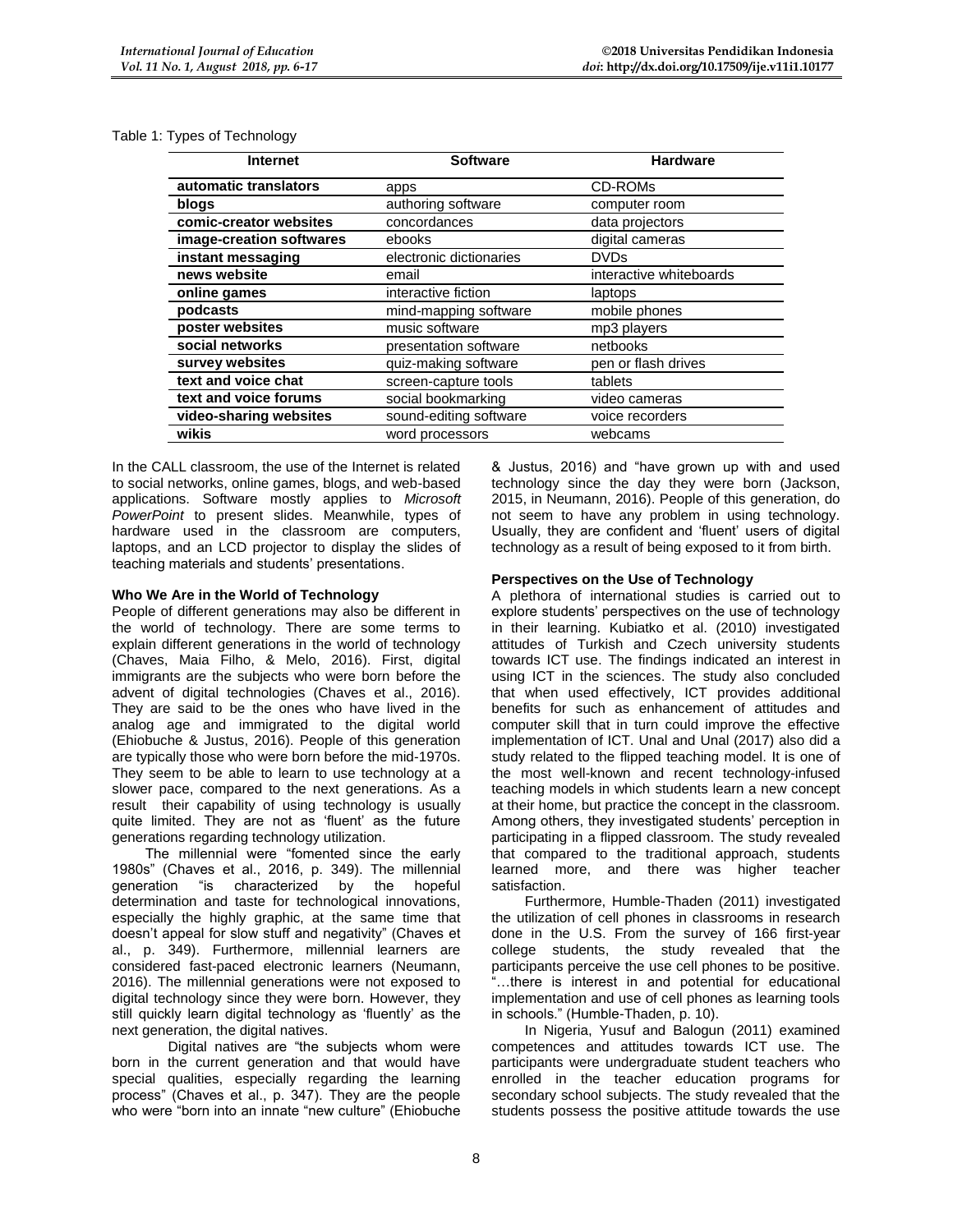| <b>Internet</b>          | <b>Software</b>         | <b>Hardware</b>         |
|--------------------------|-------------------------|-------------------------|
| automatic translators    | apps                    | CD-ROMs                 |
| blogs                    | authoring software      | computer room           |
| comic-creator websites   | concordances            | data projectors         |
| image-creation softwares | ebooks                  | digital cameras         |
| instant messaging        | electronic dictionaries | <b>DVDs</b>             |
| news website             | email                   | interactive whiteboards |
| online games             | interactive fiction     | laptops                 |
| podcasts                 | mind-mapping software   | mobile phones           |
| poster websites          | music software          | mp3 players             |
| social networks          | presentation software   | netbooks                |
| survey websites          | quiz-making software    | pen or flash drives     |
| text and voice chat      | screen-capture tools    | tablets                 |
| text and voice forums    | social bookmarking      | video cameras           |
| video-sharing websites   | sound-editing software  | voice recorders         |
| wikis                    | word processors         | webcams                 |

In the CALL classroom, the use of the Internet is related to social networks, online games, blogs, and web-based applications. Software mostly applies to *Microsoft PowerPoint* to present slides. Meanwhile, types of hardware used in the classroom are computers, laptops, and an LCD projector to display the slides of teaching materials and students' presentations.

# **Who We Are in the World of Technology**

People of different generations may also be different in the world of technology. There are some terms to explain different generations in the world of technology (Chaves, Maia Filho, & Melo, 2016). First, digital immigrants are the subjects who were born before the advent of digital technologies (Chaves et al., 2016). They are said to be the ones who have lived in the analog age and immigrated to the digital world (Ehiobuche & Justus, 2016). People of this generation are typically those who were born before the mid-1970s. They seem to be able to learn to use technology at a slower pace, compared to the next generations. As a result their capability of using technology is usually quite limited. They are not as 'fluent' as the future generations regarding technology utilization.

The millennial were "fomented since the early 1980s" (Chaves et al., 2016, p. 349). The millennial generation "is characterized by the hopeful determination and taste for technological innovations, especially the highly graphic, at the same time that doesn't appeal for slow stuff and negativity" (Chaves et al., p. 349). Furthermore, millennial learners are considered fast-paced electronic learners (Neumann, 2016). The millennial generations were not exposed to digital technology since they were born. However, they still quickly learn digital technology as 'fluently' as the next generation, the digital natives.

Digital natives are "the subjects whom were born in the current generation and that would have special qualities, especially regarding the learning process" (Chaves et al., p. 347). They are the people who were "born into an innate "new culture" (Ehiobuche

& Justus, 2016) and "have grown up with and used technology since the day they were born (Jackson, 2015, in Neumann, 2016). People of this generation, do not seem to have any problem in using technology. Usually, they are confident and 'fluent' users of digital technology as a result of being exposed to it from birth.

# **Perspectives on the Use of Technology**

A plethora of international studies is carried out to explore students' perspectives on the use of technology in their learning. Kubiatko et al. (2010) investigated attitudes of Turkish and Czech university students towards ICT use. The findings indicated an interest in using ICT in the sciences. The study also concluded that when used effectively, ICT provides additional benefits for such as enhancement of attitudes and computer skill that in turn could improve the effective implementation of ICT. Unal and Unal (2017) also did a study related to the flipped teaching model. It is one of the most well-known and recent technology-infused teaching models in which students learn a new concept at their home, but practice the concept in the classroom. Among others, they investigated students' perception in participating in a flipped classroom. The study revealed that compared to the traditional approach, students learned more, and there was higher teacher satisfaction.

Furthermore, Humble-Thaden (2011) investigated the utilization of cell phones in classrooms in research done in the U.S. From the survey of 166 first-year college students, the study revealed that the participants perceive the use cell phones to be positive. ...there is interest in and potential for educational implementation and use of cell phones as learning tools in schools." (Humble-Thaden, p. 10).

In Nigeria, Yusuf and Balogun (2011) examined competences and attitudes towards ICT use. The participants were undergraduate student teachers who enrolled in the teacher education programs for secondary school subjects. The study revealed that the students possess the positive attitude towards the use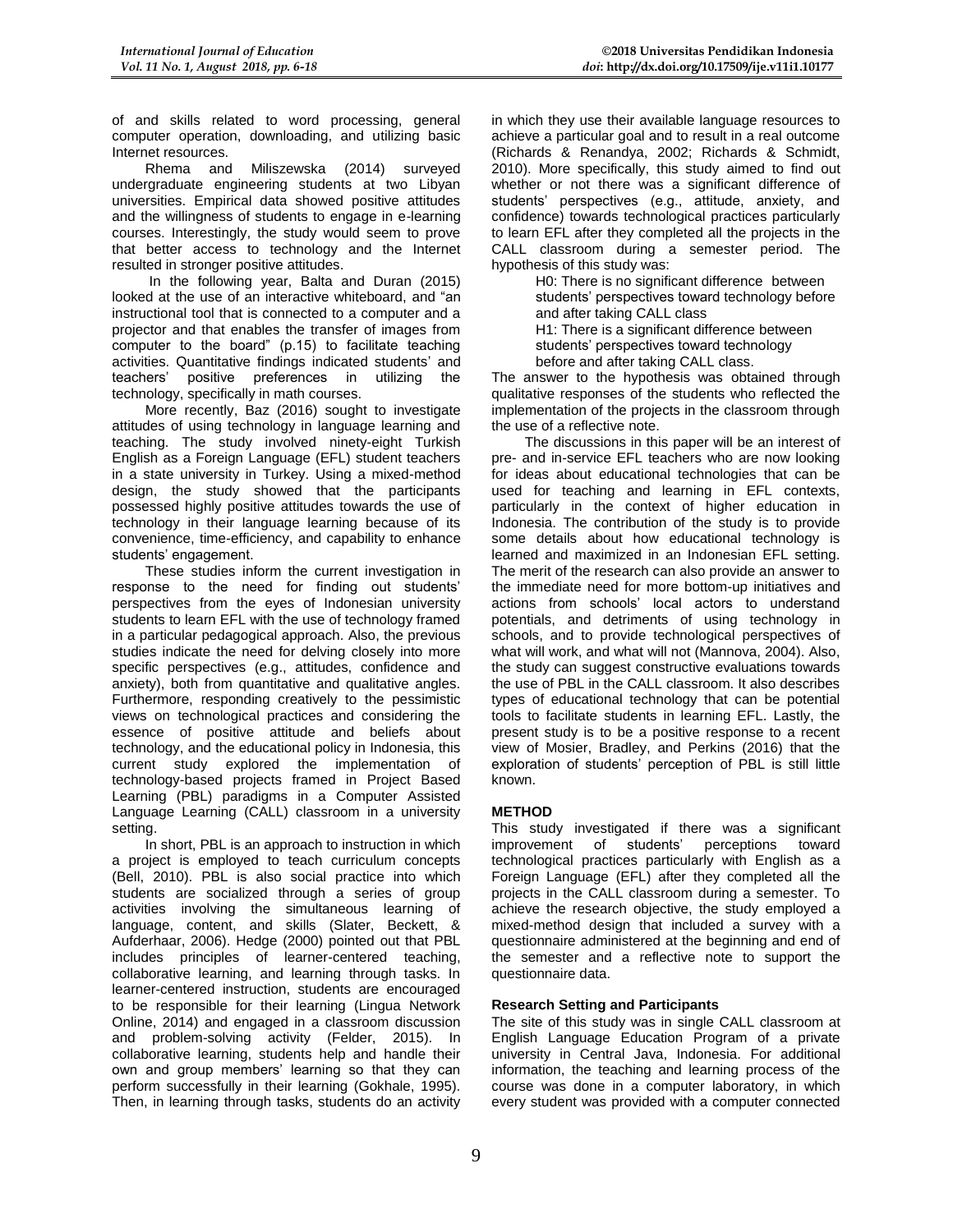of and skills related to word processing, general computer operation, downloading, and utilizing basic Internet resources.

Rhema and Miliszewska (2014) surveyed undergraduate engineering students at two Libyan universities. Empirical data showed positive attitudes and the willingness of students to engage in e-learning courses. Interestingly, the study would seem to prove that better access to technology and the Internet resulted in stronger positive attitudes.

In the following year, Balta and Duran (2015) looked at the use of an interactive whiteboard, and "an instructional tool that is connected to a computer and a projector and that enables the transfer of images from computer to the board" (p.15) to facilitate teaching activities. Quantitative findings indicated students' and teachers' positive preferences in utilizing the positive preferences in utilizing the technology, specifically in math courses.

More recently, Baz (2016) sought to investigate attitudes of using technology in language learning and teaching. The study involved ninety-eight Turkish English as a Foreign Language (EFL) student teachers in a state university in Turkey. Using a mixed-method design, the study showed that the participants possessed highly positive attitudes towards the use of technology in their language learning because of its convenience, time-efficiency, and capability to enhance students' engagement.

These studies inform the current investigation in response to the need for finding out students' perspectives from the eyes of Indonesian university students to learn EFL with the use of technology framed in a particular pedagogical approach. Also, the previous studies indicate the need for delving closely into more specific perspectives (e.g., attitudes, confidence and anxiety), both from quantitative and qualitative angles. Furthermore, responding creatively to the pessimistic views on technological practices and considering the essence of positive attitude and beliefs about technology, and the educational policy in Indonesia, this current study explored the implementation of technology-based projects framed in Project Based Learning (PBL) paradigms in a Computer Assisted Language Learning (CALL) classroom in a university setting.

In short, PBL is an approach to instruction in which a project is employed to teach curriculum concepts (Bell, 2010). PBL is also social practice into which students are socialized through a series of group activities involving the simultaneous learning of language, content, and skills (Slater, Beckett, & Aufderhaar, 2006). Hedge (2000) pointed out that PBL includes principles of learner-centered teaching, collaborative learning, and learning through tasks. In learner-centered instruction, students are encouraged to be responsible for their learning (Lingua Network Online, 2014) and engaged in a classroom discussion and problem-solving activity (Felder, 2015). In collaborative learning, students help and handle their own and group members' learning so that they can perform successfully in their learning (Gokhale, 1995). Then, in learning through tasks, students do an activity

in which they use their available language resources to achieve a particular goal and to result in a real outcome (Richards & Renandya, 2002; Richards & Schmidt, 2010). More specifically, this study aimed to find out whether or not there was a significant difference of students' perspectives (e.g., attitude, anxiety, and confidence) towards technological practices particularly to learn EFL after they completed all the projects in the CALL classroom during a semester period. The hypothesis of this study was:

> H0: There is no significant difference between students' perspectives toward technology before and after taking CALL class

H1: There is a significant difference between

students' perspectives toward technology

before and after taking CALL class.

The answer to the hypothesis was obtained through qualitative responses of the students who reflected the implementation of the projects in the classroom through the use of a reflective note.

The discussions in this paper will be an interest of pre- and in-service EFL teachers who are now looking for ideas about educational technologies that can be used for teaching and learning in EFL contexts, particularly in the context of higher education in Indonesia. The contribution of the study is to provide some details about how educational technology is learned and maximized in an Indonesian EFL setting. The merit of the research can also provide an answer to the immediate need for more bottom-up initiatives and actions from schools' local actors to understand potentials, and detriments of using technology in schools, and to provide technological perspectives of what will work, and what will not (Mannova, 2004). Also, the study can suggest constructive evaluations towards the use of PBL in the CALL classroom. It also describes types of educational technology that can be potential tools to facilitate students in learning EFL. Lastly, the present study is to be a positive response to a recent view of Mosier, Bradley, and Perkins (2016) that the exploration of students' perception of PBL is still little known.

# **METHOD**

This study investigated if there was a significant improvement of students' perceptions toward technological practices particularly with English as a Foreign Language (EFL) after they completed all the projects in the CALL classroom during a semester. To achieve the research objective, the study employed a mixed-method design that included a survey with a questionnaire administered at the beginning and end of the semester and a reflective note to support the questionnaire data.

# **Research Setting and Participants**

The site of this study was in single CALL classroom at English Language Education Program of a private university in Central Java, Indonesia. For additional information, the teaching and learning process of the course was done in a computer laboratory, in which every student was provided with a computer connected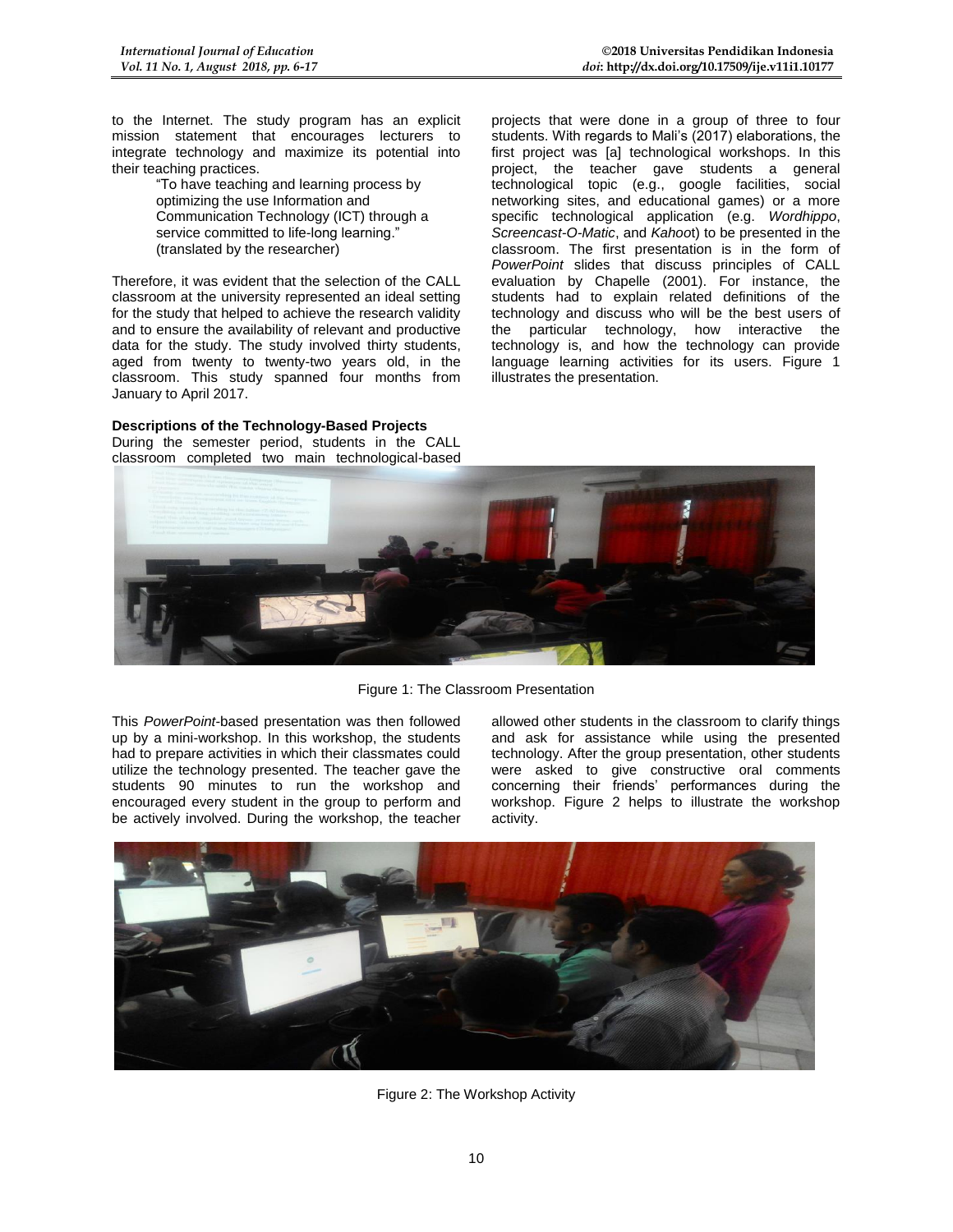to the Internet. The study program has an explicit mission statement that encourages lecturers to integrate technology and maximize its potential into their teaching practices.

> "To have teaching and learning process by optimizing the use Information and Communication Technology (ICT) through a service committed to life-long learning." (translated by the researcher)

Therefore, it was evident that the selection of the CALL classroom at the university represented an ideal setting for the study that helped to achieve the research validity and to ensure the availability of relevant and productive data for the study. The study involved thirty students, aged from twenty to twenty-two years old, in the classroom. This study spanned four months from January to April 2017.

# **Descriptions of the Technology-Based Projects**

During the semester period, students in the CALL classroom completed two main technological-based projects that were done in a group of three to four students. With regards to Mali's (2017) elaborations, the first project was [a] technological workshops. In this project, the teacher gave students a general technological topic (e.g., google facilities, social networking sites, and educational games) or a more specific technological application (e.g. *Wordhippo*, *Screencast-O-Matic*, and *Kahoo*t) to be presented in the classroom. The first presentation is in the form of *PowerPoint* slides that discuss principles of CALL evaluation by Chapelle (2001). For instance, the students had to explain related definitions of the technology and discuss who will be the best users of the particular technology, how interactive the technology is, and how the technology can provide language learning activities for its users. Figure 1 illustrates the presentation.



Figure 1: The Classroom Presentation

This *PowerPoint-*based presentation was then followed up by a mini-workshop. In this workshop, the students had to prepare activities in which their classmates could utilize the technology presented. The teacher gave the students 90 minutes to run the workshop and encouraged every student in the group to perform and be actively involved. During the workshop, the teacher allowed other students in the classroom to clarify things and ask for assistance while using the presented technology. After the group presentation, other students were asked to give constructive oral comments concerning their friends' performances during the workshop. Figure 2 helps to illustrate the workshop activity.



Figure 2: The Workshop Activity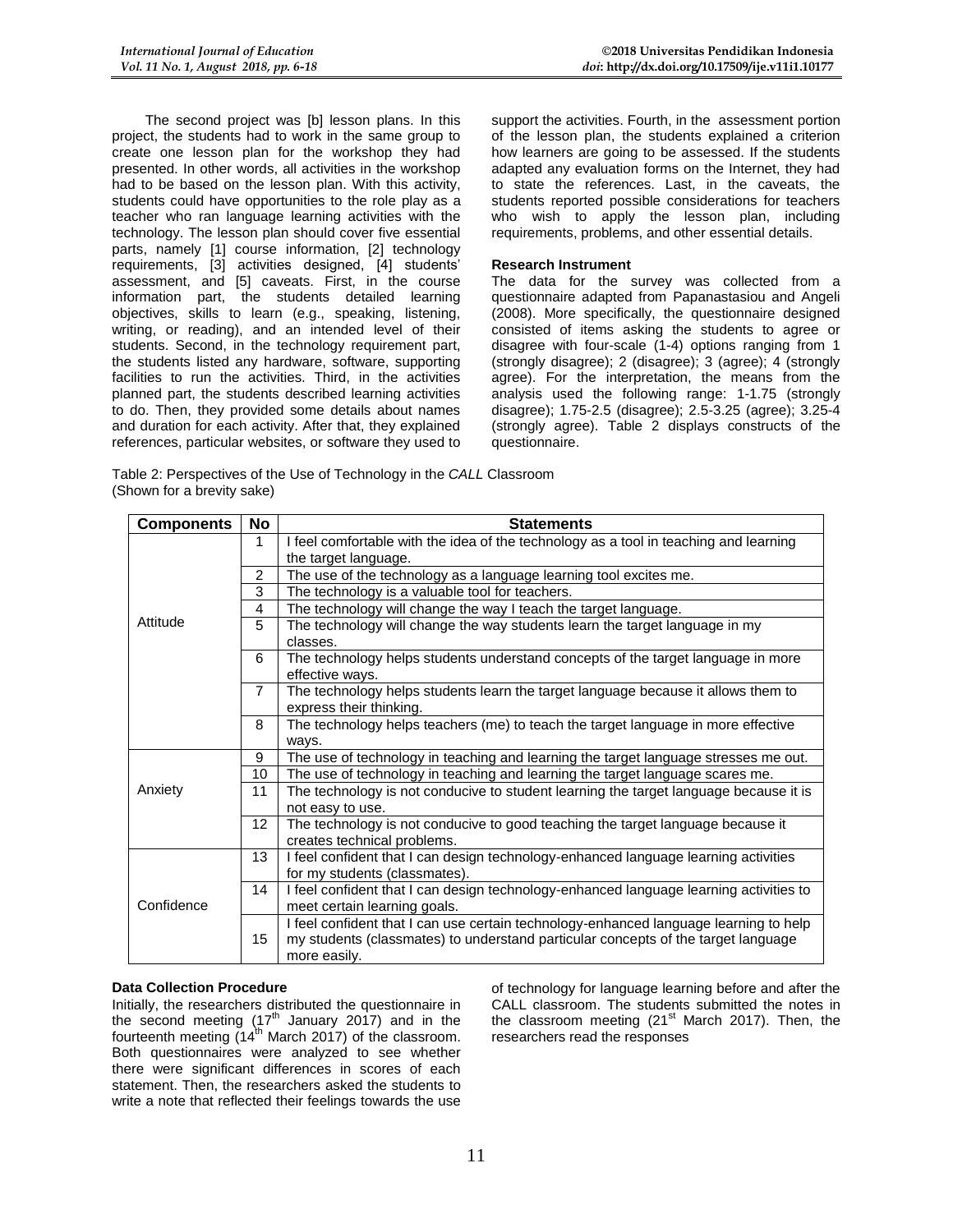The second project was [b] lesson plans. In this project, the students had to work in the same group to create one lesson plan for the workshop they had presented. In other words, all activities in the workshop had to be based on the lesson plan. With this activity, students could have opportunities to the role play as a teacher who ran language learning activities with the technology. The lesson plan should cover five essential parts, namely [1] course information, [2] technology requirements, [3] activities designed, [4] students' assessment, and [5] caveats. First, in the course information part, the students detailed learning objectives, skills to learn (e.g., speaking, listening, writing, or reading), and an intended level of their students. Second, in the technology requirement part, the students listed any hardware, software, supporting facilities to run the activities. Third, in the activities planned part, the students described learning activities to do. Then, they provided some details about names and duration for each activity. After that, they explained references, particular websites, or software they used to

support the activities. Fourth, in the assessment portion of the lesson plan, the students explained a criterion how learners are going to be assessed. If the students adapted any evaluation forms on the Internet, they had to state the references. Last, in the caveats, the students reported possible considerations for teachers who wish to apply the lesson plan, including requirements, problems, and other essential details.

# **Research Instrument**

The data for the survey was collected from a questionnaire adapted from Papanastasiou and Angeli (2008). More specifically, the questionnaire designed consisted of items asking the students to agree or disagree with four-scale (1-4) options ranging from 1 (strongly disagree); 2 (disagree); 3 (agree); 4 (strongly agree). For the interpretation, the means from the analysis used the following range: 1-1.75 (strongly disagree); 1.75-2.5 (disagree); 2.5-3.25 (agree); 3.25-4 (strongly agree). Table 2 displays constructs of the questionnaire.

Table 2: Perspectives of the Use of Technology in the *CALL* Classroom (Shown for a brevity sake)

| <b>Components</b>                            | No                                                                                         | <b>Statements</b>                                                                                                                                                                          |  |
|----------------------------------------------|--------------------------------------------------------------------------------------------|--------------------------------------------------------------------------------------------------------------------------------------------------------------------------------------------|--|
|                                              | I feel comfortable with the idea of the technology as a tool in teaching and learning<br>1 |                                                                                                                                                                                            |  |
|                                              | the target language.                                                                       |                                                                                                                                                                                            |  |
|                                              | The use of the technology as a language learning tool excites me.<br>2                     |                                                                                                                                                                                            |  |
|                                              | 3<br>The technology is a valuable tool for teachers.                                       |                                                                                                                                                                                            |  |
|                                              | 4                                                                                          | The technology will change the way I teach the target language.                                                                                                                            |  |
| Attitude<br>5                                |                                                                                            | The technology will change the way students learn the target language in my<br>classes.                                                                                                    |  |
|                                              | 6                                                                                          | The technology helps students understand concepts of the target language in more<br>effective ways.                                                                                        |  |
|                                              | $\overline{7}$                                                                             | The technology helps students learn the target language because it allows them to<br>express their thinking.                                                                               |  |
|                                              | 8<br>The technology helps teachers (me) to teach the target language in more effective     |                                                                                                                                                                                            |  |
|                                              |                                                                                            | ways.                                                                                                                                                                                      |  |
| 9<br>10<br>Anxiety<br>11<br>not easy to use. |                                                                                            | The use of technology in teaching and learning the target language stresses me out.                                                                                                        |  |
|                                              |                                                                                            | The use of technology in teaching and learning the target language scares me.                                                                                                              |  |
|                                              |                                                                                            | The technology is not conducive to student learning the target language because it is                                                                                                      |  |
|                                              | 12 <sup>2</sup>                                                                            | The technology is not conducive to good teaching the target language because it<br>creates technical problems.                                                                             |  |
| 13                                           |                                                                                            | I feel confident that I can design technology-enhanced language learning activities<br>for my students (classmates).                                                                       |  |
| Confidence                                   | 14                                                                                         | I feel confident that I can design technology-enhanced language learning activities to<br>meet certain learning goals.                                                                     |  |
|                                              | 15                                                                                         | I feel confident that I can use certain technology-enhanced language learning to help<br>my students (classmates) to understand particular concepts of the target language<br>more easily. |  |

# **Data Collection Procedure**

Initially, the researchers distributed the questionnaire in the second meeting  $(17<sup>th</sup>$  January 2017) and in the fourteenth meeting  $(14<sup>th</sup>$  March 2017) of the classroom. Both questionnaires were analyzed to see whether there were significant differences in scores of each statement. Then, the researchers asked the students to write a note that reflected their feelings towards the use

of technology for language learning before and after the CALL classroom. The students submitted the notes in the classroom meeting  $(21<sup>st</sup>$  March 2017). Then, the researchers read the responses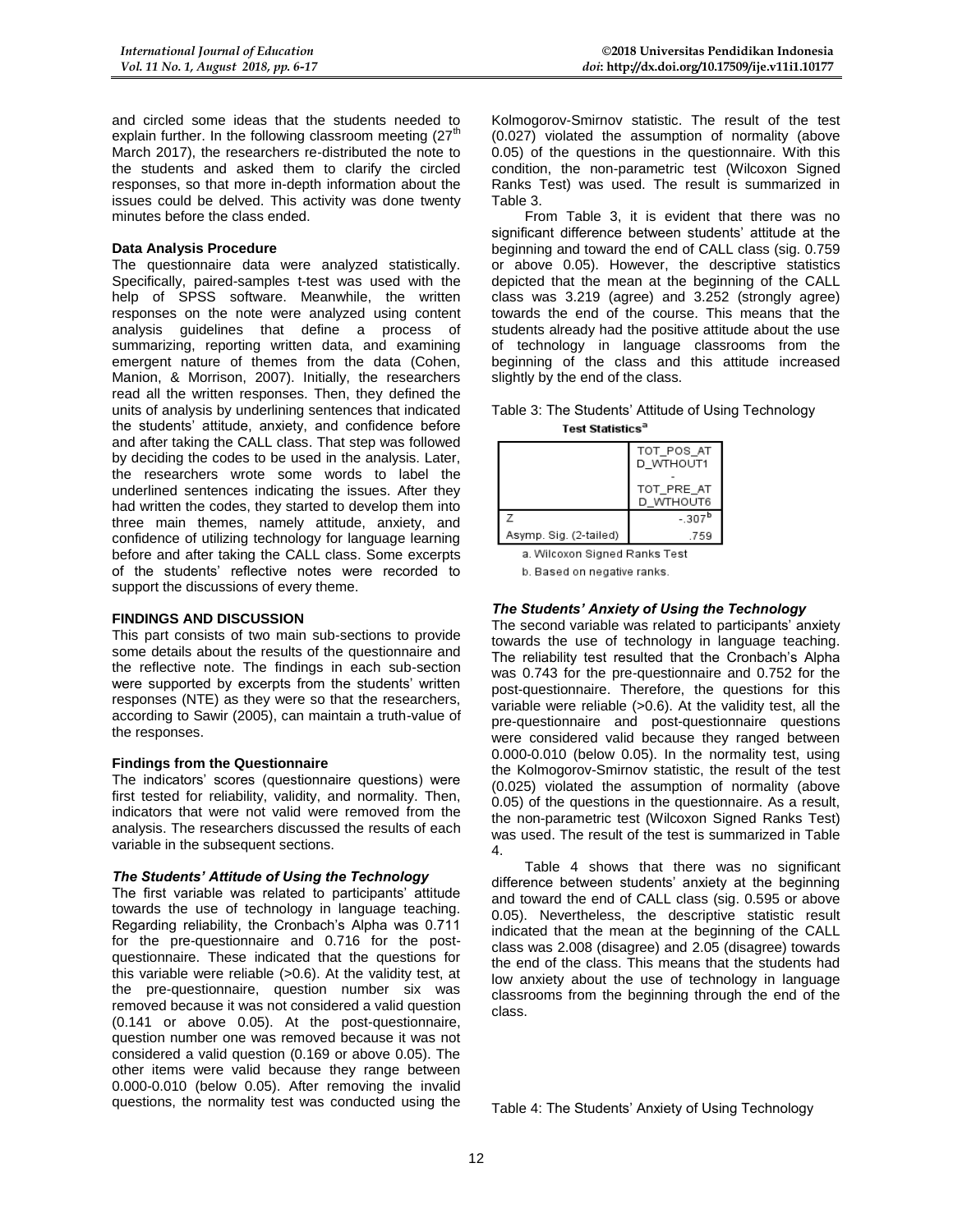and circled some ideas that the students needed to explain further. In the following classroom meeting  $(27<sup>th</sup>)$ March 2017), the researchers re-distributed the note to the students and asked them to clarify the circled responses, so that more in-depth information about the issues could be delved. This activity was done twenty minutes before the class ended.

# **Data Analysis Procedure**

The questionnaire data were analyzed statistically. Specifically, paired-samples t-test was used with the help of SPSS software. Meanwhile, the written responses on the note were analyzed using content analysis guidelines that define a process of summarizing, reporting written data, and examining emergent nature of themes from the data (Cohen, Manion, & Morrison, 2007). Initially, the researchers read all the written responses. Then, they defined the units of analysis by underlining sentences that indicated the students' attitude, anxiety, and confidence before and after taking the CALL class. That step was followed by deciding the codes to be used in the analysis. Later, the researchers wrote some words to label the underlined sentences indicating the issues. After they had written the codes, they started to develop them into three main themes, namely attitude, anxiety, and confidence of utilizing technology for language learning before and after taking the CALL class. Some excerpts of the students' reflective notes were recorded to support the discussions of every theme.

#### **FINDINGS AND DISCUSSION**

This part consists of two main sub-sections to provide some details about the results of the questionnaire and the reflective note. The findings in each sub-section were supported by excerpts from the students' written responses (NTE) as they were so that the researchers, according to Sawir (2005), can maintain a truth-value of the responses.

# **Findings from the Questionnaire**

The indicators' scores (questionnaire questions) were first tested for reliability, validity, and normality. Then, indicators that were not valid were removed from the analysis. The researchers discussed the results of each variable in the subsequent sections.

#### *The Students' Attitude of Using the Technology*

The first variable was related to participants' attitude towards the use of technology in language teaching. Regarding reliability, the Cronbach's Alpha was 0.711 for the pre-questionnaire and 0.716 for the postquestionnaire. These indicated that the questions for this variable were reliable (>0.6). At the validity test, at the pre-questionnaire, question number six was removed because it was not considered a valid question (0.141 or above 0.05). At the post-questionnaire, question number one was removed because it was not considered a valid question (0.169 or above 0.05). The other items were valid because they range between 0.000-0.010 (below 0.05). After removing the invalid questions, the normality test was conducted using the Kolmogorov-Smirnov statistic. The result of the test (0.027) violated the assumption of normality (above 0.05) of the questions in the questionnaire. With this condition, the non-parametric test (Wilcoxon Signed Ranks Test) was used. The result is summarized in Table 3.

From Table 3, it is evident that there was no significant difference between students' attitude at the beginning and toward the end of CALL class (sig. 0.759 or above 0.05). However, the descriptive statistics depicted that the mean at the beginning of the CALL class was 3.219 (agree) and 3.252 (strongly agree) towards the end of the course. This means that the students already had the positive attitude about the use of technology in language classrooms from the beginning of the class and this attitude increased slightly by the end of the class.

#### Table 3: The Students' Attitude of Using Technology **Test Statistics<sup>a</sup>**

|                        | TOT POS AT<br>D WTHOUT1 |
|------------------------|-------------------------|
|                        | TOT_PRE_AT<br>D WTHOUT6 |
| 7                      | $-307^b$                |
| Asymp. Sig. (2-tailed) | .759                    |

a. Wilcoxon Signed Ranks Test

b. Based on negative ranks.

# *The Students' Anxiety of Using the Technology*

The second variable was related to participants' anxiety towards the use of technology in language teaching. The reliability test resulted that the Cronbach's Alpha was 0.743 for the pre-questionnaire and 0.752 for the post-questionnaire. Therefore, the questions for this variable were reliable (>0.6). At the validity test, all the pre-questionnaire and post-questionnaire questions were considered valid because they ranged between 0.000-0.010 (below 0.05). In the normality test, using the Kolmogorov-Smirnov statistic, the result of the test (0.025) violated the assumption of normality (above 0.05) of the questions in the questionnaire. As a result, the non-parametric test (Wilcoxon Signed Ranks Test) was used. The result of the test is summarized in Table 4.

Table 4 shows that there was no significant difference between students' anxiety at the beginning and toward the end of CALL class (sig. 0.595 or above 0.05). Nevertheless, the descriptive statistic result indicated that the mean at the beginning of the CALL class was 2.008 (disagree) and 2.05 (disagree) towards the end of the class. This means that the students had low anxiety about the use of technology in language classrooms from the beginning through the end of the class.

Table 4: The Students' Anxiety of Using Technology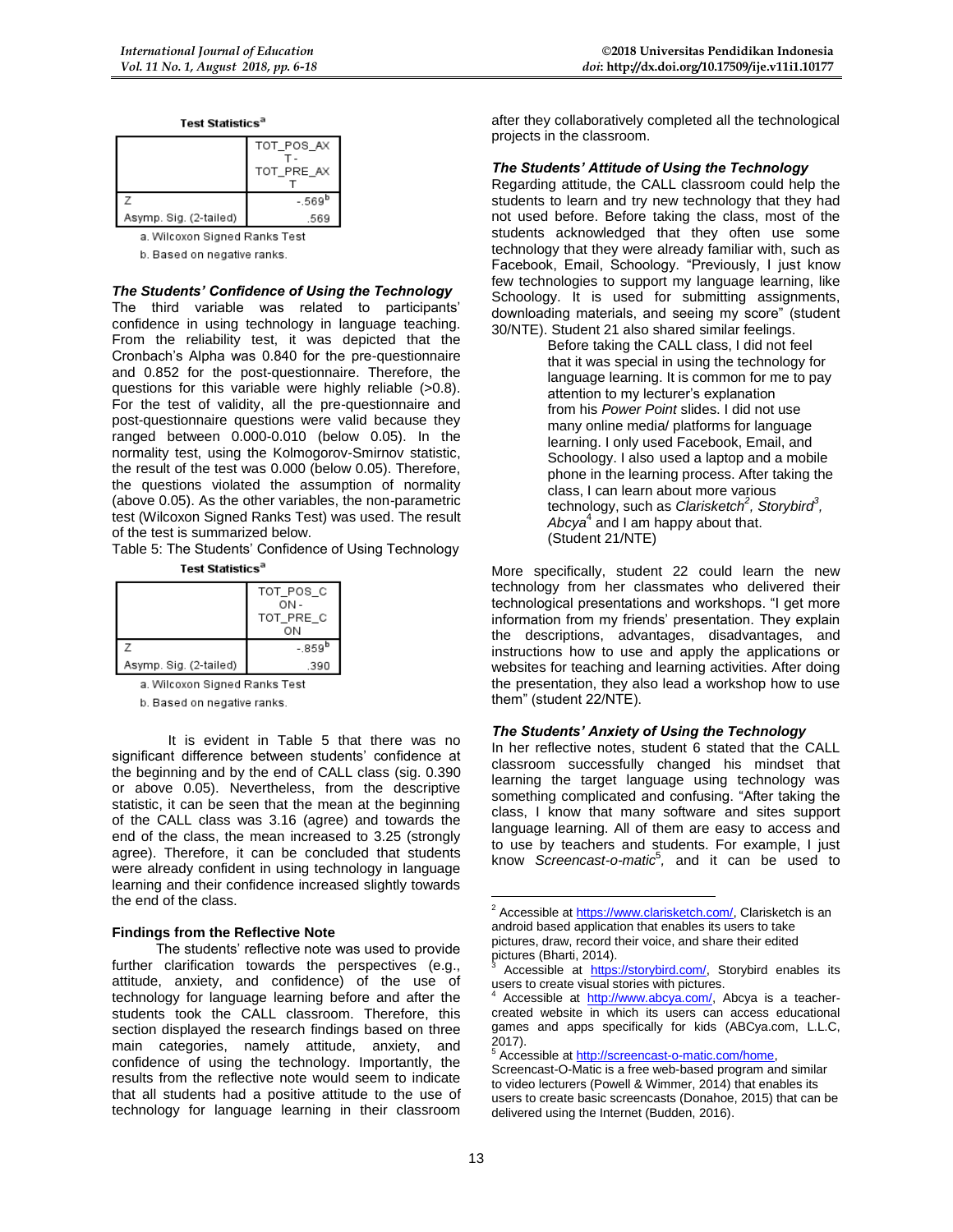| <b>Test Statistic</b> |  |
|-----------------------|--|
|-----------------------|--|

|                        | TOT_POS_AX<br>TOT_PRE_AX |
|------------------------|--------------------------|
|                        | $-569b$                  |
| Asymp. Sig. (2-tailed) | .569                     |

a. Wilcoxon Signed Ranks Test

b. Based on negative ranks.

# *The Students' Confidence of Using the Technology*

The third variable was related to participants' confidence in using technology in language teaching. From the reliability test, it was depicted that the Cronbach's Alpha was 0.840 for the pre-questionnaire and 0.852 for the post-questionnaire. Therefore, the questions for this variable were highly reliable (>0.8). For the test of validity, all the pre-questionnaire and post-questionnaire questions were valid because they ranged between 0.000-0.010 (below 0.05). In the normality test, using the Kolmogorov-Smirnov statistic, the result of the test was 0.000 (below 0.05). Therefore, the questions violated the assumption of normality (above 0.05). As the other variables, the non-parametric test (Wilcoxon Signed Ranks Test) was used. The result of the test is summarized below.

Table 5: The Students' Confidence of Using Technology Test Statistics<sup>a</sup>

|                        | TOT POS C<br>ON-<br>TOT PRE C<br>OΝ |
|------------------------|-------------------------------------|
|                        | $-0.859^{\rm b}$                    |
| Asymp. Sig. (2-tailed) | .390                                |

a. Wilcoxon Signed Ranks Test

b. Based on negative ranks.

It is evident in Table 5 that there was no significant difference between students' confidence at the beginning and by the end of CALL class (sig. 0.390 or above 0.05). Nevertheless, from the descriptive statistic, it can be seen that the mean at the beginning of the CALL class was 3.16 (agree) and towards the end of the class, the mean increased to 3.25 (strongly agree). Therefore, it can be concluded that students were already confident in using technology in language learning and their confidence increased slightly towards the end of the class.

# **Findings from the Reflective Note**

The students' reflective note was used to provide further clarification towards the perspectives (e.g., attitude, anxiety, and confidence) of the use of technology for language learning before and after the students took the CALL classroom. Therefore, this section displayed the research findings based on three main categories, namely attitude, anxiety, and confidence of using the technology. Importantly, the results from the reflective note would seem to indicate that all students had a positive attitude to the use of technology for language learning in their classroom after they collaboratively completed all the technological projects in the classroom.

### *The Students' Attitude of Using the Technology*

Regarding attitude, the CALL classroom could help the students to learn and try new technology that they had not used before. Before taking the class, most of the students acknowledged that they often use some technology that they were already familiar with, such as Facebook, Email, Schoology. "Previously, I just know few technologies to support my language learning, like Schoology. It is used for submitting assignments, downloading materials, and seeing my score" (student 30/NTE). Student 21 also shared similar feelings.

Before taking the CALL class, I did not feel that it was special in using the technology for language learning. It is common for me to pay attention to my lecturer's explanation from his *Power Point* slides. I did not use many online media/ platforms for language learning. I only used Facebook, Email, and Schoology. I also used a laptop and a mobile phone in the learning process. After taking the class, I can learn about more various technology, such as *Clarisketch<sup>2</sup> , Storybird<sup>3</sup> ,*  Abcya<sup>4</sup> and I am happy about that. (Student 21/NTE)

More specifically, student 22 could learn the new technology from her classmates who delivered their technological presentations and workshops. "I get more information from my friends' presentation. They explain the descriptions, advantages, disadvantages, and instructions how to use and apply the applications or websites for teaching and learning activities. After doing the presentation, they also lead a workshop how to use them" (student 22/NTE).

#### *The Students' Anxiety of Using the Technology*

In her reflective notes, student 6 stated that the CALL classroom successfully changed his mindset that learning the target language using technology was something complicated and confusing. "After taking the class, I know that many software and sites support language learning. All of them are easy to access and to use by teachers and students. For example, I just know *Screencast-o-matic*<sup>5</sup> *,* and it can be used to

Accessible at http://screencast-o-matic.com/home,

<sup>&</sup>lt;u>.</u> <sup>2</sup> Accessible a[t https://www.clarisketch.com/,](https://www.clarisketch.com/) Clarisketch is an android based application that enables its users to take pictures, draw, record their voice, and share their edited pictures (Bharti, 2014).

Accessible at [https://storybird.com/,](https://storybird.com/) Storybird enables its users to create visual stories with pictures.

Accessible at [http://www.abcya.com/,](http://www.abcya.com/) Abcya is a teachercreated website in which its users can access educational games and apps specifically for kids (ABCya.com, L.L.C, 2017).

Screencast-O-Matic is a free web-based program and similar to video lecturers (Powell & Wimmer, 2014) that enables its users to create basic screencasts (Donahoe, 2015) that can be delivered using the Internet (Budden, 2016).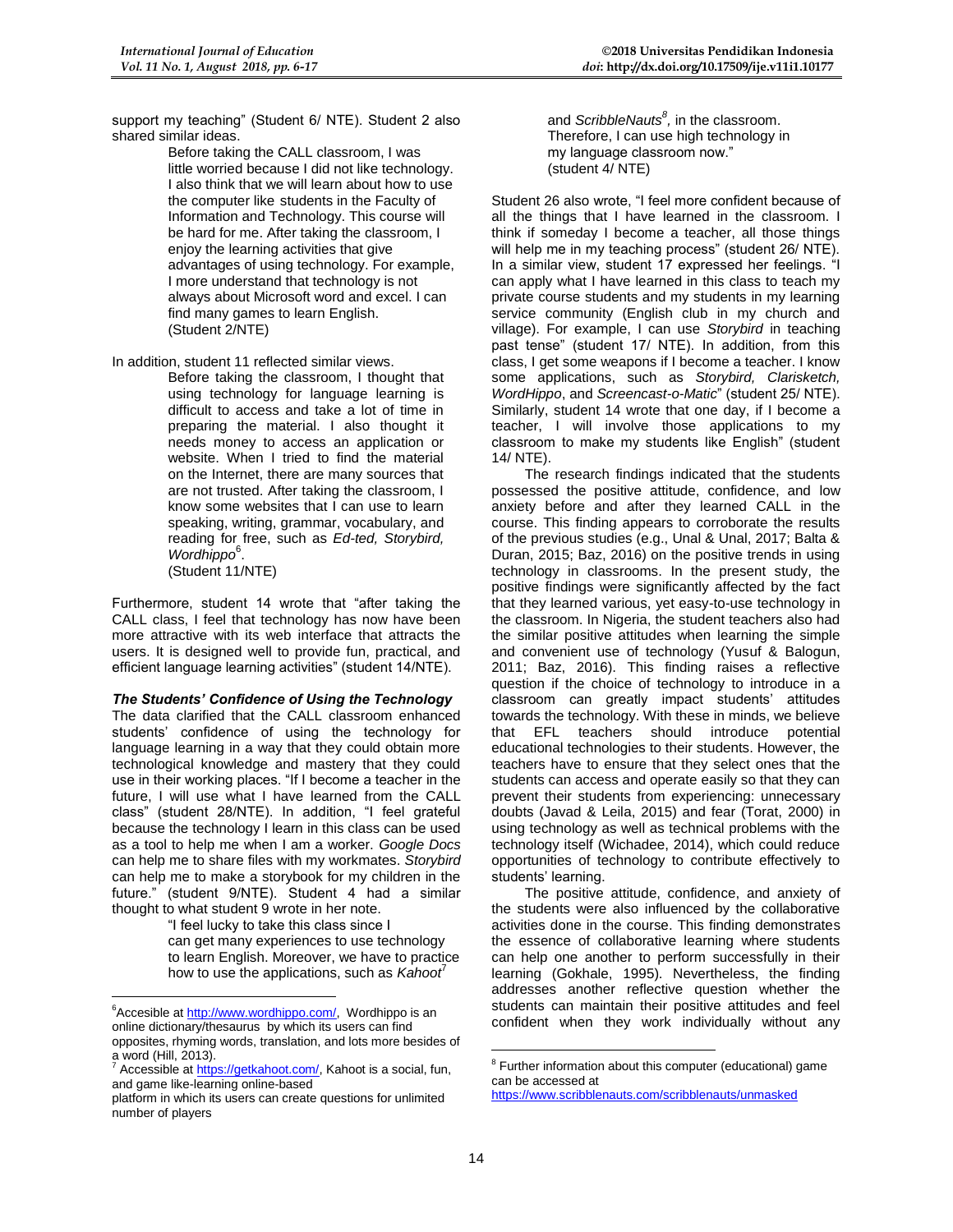support my teaching" (Student 6/ NTE). Student 2 also shared similar ideas.

Before taking the CALL classroom, I was little worried because I did not like technology. I also think that we will learn about how to use the computer like students in the Faculty of Information and Technology. This course will be hard for me. After taking the classroom, I enjoy the learning activities that give advantages of using technology. For example, I more understand that technology is not always about Microsoft word and excel. I can find many games to learn English. (Student 2/NTE)

In addition, student 11 reflected similar views.

Before taking the classroom, I thought that using technology for language learning is difficult to access and take a lot of time in preparing the material. I also thought it needs money to access an application or website. When I tried to find the material on the Internet, there are many sources that are not trusted. After taking the classroom, I know some websites that I can use to learn speaking, writing, grammar, vocabulary, and reading for free, such as *Ed-ted, Storybird,*  Wordhippo<sup>6</sup>. (Student 11/NTE)

Furthermore, student 14 wrote that "after taking the CALL class, I feel that technology has now have been more attractive with its web interface that attracts the users. It is designed well to provide fun, practical, and efficient language learning activities" (student 14/NTE).

#### *The Students' Confidence of Using the Technology*

The data clarified that the CALL classroom enhanced students' confidence of using the technology for language learning in a way that they could obtain more technological knowledge and mastery that they could use in their working places. "If I become a teacher in the future, I will use what I have learned from the CALL class" (student 28/NTE). In addition, "I feel grateful because the technology I learn in this class can be used as a tool to help me when I am a worker. *Google Docs*  can help me to share files with my workmates. *Storybird*  can help me to make a storybook for my children in the future." (student 9/NTE). Student 4 had a similar thought to what student 9 wrote in her note.

> "I feel lucky to take this class since I can get many experiences to use technology to learn English. Moreover, we have to practice how to use the applications, such as *Kahoot*<sup>7</sup>

<u>.</u>

and *ScribbleNauts<sup>8</sup> ,* in the classroom. Therefore, I can use high technology in my language classroom now." (student 4/ NTE)

Student 26 also wrote, "I feel more confident because of all the things that I have learned in the classroom. I think if someday I become a teacher, all those things will help me in my teaching process" (student 26/ NTE). In a similar view, student 17 expressed her feelings. "I can apply what I have learned in this class to teach my private course students and my students in my learning service community (English club in my church and village). For example, I can use *Storybird* in teaching past tense" (student 17/ NTE). In addition, from this class, I get some weapons if I become a teacher. I know some applications, such as *Storybird, Clarisketch, WordHippo*, and *Screencast-o-Matic*" (student 25/ NTE). Similarly, student 14 wrote that one day, if I become a teacher, I will involve those applications to my classroom to make my students like English" (student 14/ NTE).

The research findings indicated that the students possessed the positive attitude, confidence, and low anxiety before and after they learned CALL in the course. This finding appears to corroborate the results of the previous studies (e.g., Unal & Unal, 2017; Balta & Duran, 2015; Baz, 2016) on the positive trends in using technology in classrooms. In the present study, the positive findings were significantly affected by the fact that they learned various, yet easy-to-use technology in the classroom. In Nigeria, the student teachers also had the similar positive attitudes when learning the simple and convenient use of technology (Yusuf & Balogun, 2011; Baz, 2016). This finding raises a reflective question if the choice of technology to introduce in a classroom can greatly impact students' attitudes towards the technology. With these in minds, we believe teachers should introduce potential educational technologies to their students. However, the teachers have to ensure that they select ones that the students can access and operate easily so that they can prevent their students from experiencing: unnecessary doubts (Javad & Leila, 2015) and fear (Torat, 2000) in using technology as well as technical problems with the technology itself (Wichadee, 2014), which could reduce opportunities of technology to contribute effectively to students' learning.

The positive attitude, confidence, and anxiety of the students were also influenced by the collaborative activities done in the course. This finding demonstrates the essence of collaborative learning where students can help one another to perform successfully in their learning (Gokhale, 1995). Nevertheless, the finding addresses another reflective question whether the students can maintain their positive attitudes and feel confident when they work individually without any

<u>.</u>

<sup>&</sup>lt;sup>6</sup>Accesible at [http://www.wordhippo.com/,](http://www.wordhippo.com/) Wordhippo is an online dictionary/thesaurus by which its users can find opposites, rhyming words, translation, and lots more besides of a word (Hill, 2013).

Accessible a[t https://getkahoot.com/,](https://getkahoot.com/) Kahoot is a social, fun, and game like-learning online-based

platform in which its users can create questions for unlimited number of players

<sup>&</sup>lt;sup>8</sup> Further information about this computer (educational) game can be accessed at

<https://www.scribblenauts.com/scribblenauts/unmasked>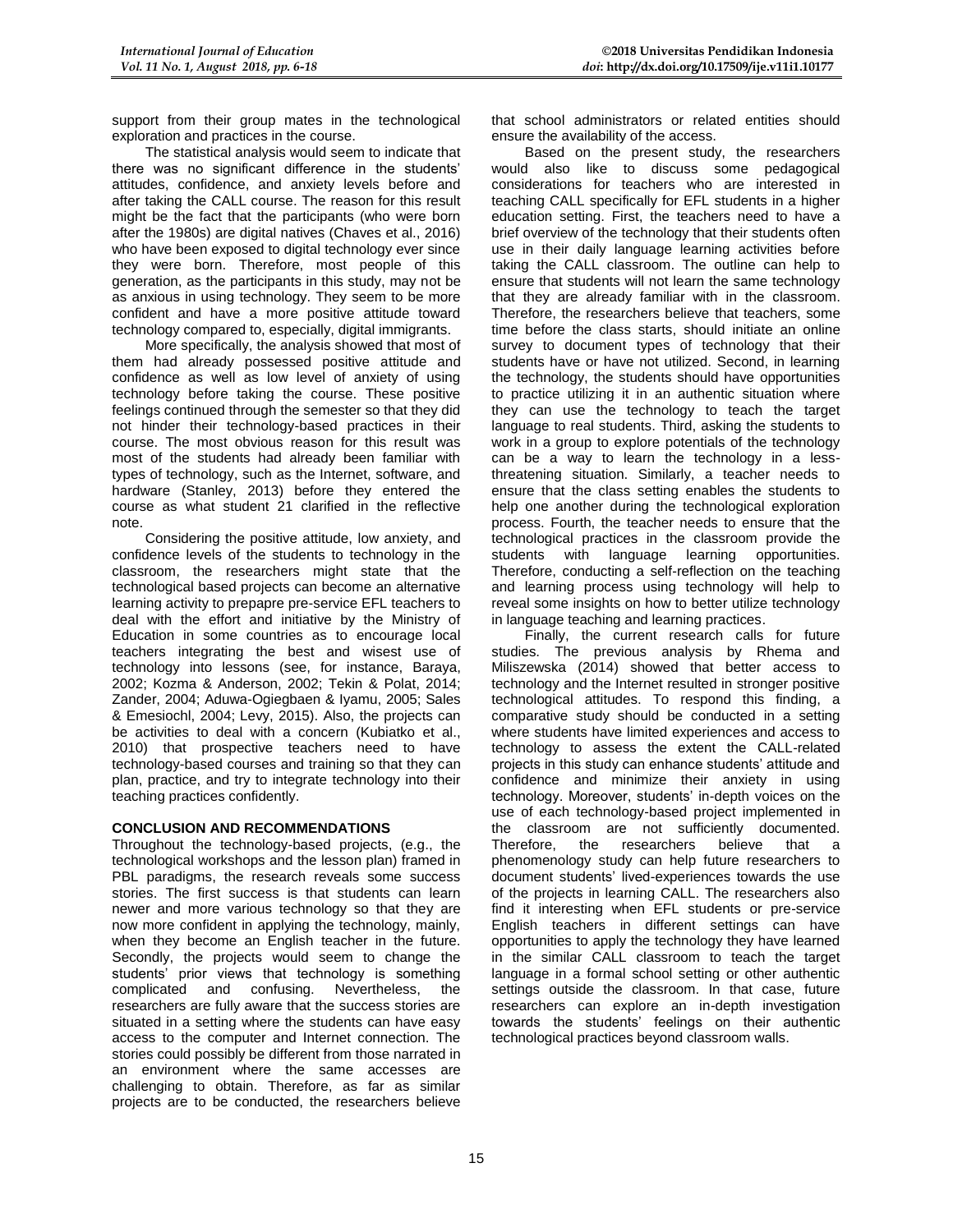support from their group mates in the technological exploration and practices in the course.

The statistical analysis would seem to indicate that there was no significant difference in the students' attitudes, confidence, and anxiety levels before and after taking the CALL course. The reason for this result might be the fact that the participants (who were born after the 1980s) are digital natives (Chaves et al., 2016) who have been exposed to digital technology ever since they were born. Therefore, most people of this generation, as the participants in this study, may not be as anxious in using technology. They seem to be more confident and have a more positive attitude toward technology compared to, especially, digital immigrants.

More specifically, the analysis showed that most of them had already possessed positive attitude and confidence as well as low level of anxiety of using technology before taking the course. These positive feelings continued through the semester so that they did not hinder their technology-based practices in their course. The most obvious reason for this result was most of the students had already been familiar with types of technology, such as the Internet, software, and hardware (Stanley, 2013) before they entered the course as what student 21 clarified in the reflective note.

Considering the positive attitude, low anxiety, and confidence levels of the students to technology in the classroom, the researchers might state that the technological based projects can become an alternative learning activity to prepapre pre-service EFL teachers to deal with the effort and initiative by the Ministry of Education in some countries as to encourage local teachers integrating the best and wisest use of technology into lessons (see, for instance, Baraya, 2002; Kozma & Anderson, 2002; Tekin & Polat, 2014; Zander, 2004; Aduwa-Ogiegbaen & Iyamu, 2005; Sales & Emesiochl, 2004; Levy, 2015). Also, the projects can be activities to deal with a concern (Kubiatko et al., 2010) that prospective teachers need to have technology-based courses and training so that they can plan, practice, and try to integrate technology into their teaching practices confidently.

# **CONCLUSION AND RECOMMENDATIONS**

Throughout the technology-based projects, (e.g., the technological workshops and the lesson plan) framed in PBL paradigms, the research reveals some success stories. The first success is that students can learn newer and more various technology so that they are now more confident in applying the technology, mainly, when they become an English teacher in the future. Secondly, the projects would seem to change the students' prior views that technology is something complicated and confusing. Nevertheless, the researchers are fully aware that the success stories are situated in a setting where the students can have easy access to the computer and Internet connection. The stories could possibly be different from those narrated in an environment where the same accesses are challenging to obtain. Therefore, as far as similar projects are to be conducted, the researchers believe

that school administrators or related entities should ensure the availability of the access.

Based on the present study, the researchers would also like to discuss some pedagogical considerations for teachers who are interested in teaching CALL specifically for EFL students in a higher education setting. First, the teachers need to have a brief overview of the technology that their students often use in their daily language learning activities before taking the CALL classroom. The outline can help to ensure that students will not learn the same technology that they are already familiar with in the classroom. Therefore, the researchers believe that teachers, some time before the class starts, should initiate an online survey to document types of technology that their students have or have not utilized. Second, in learning the technology, the students should have opportunities to practice utilizing it in an authentic situation where they can use the technology to teach the target language to real students. Third, asking the students to work in a group to explore potentials of the technology can be a way to learn the technology in a lessthreatening situation. Similarly, a teacher needs to ensure that the class setting enables the students to help one another during the technological exploration process. Fourth, the teacher needs to ensure that the technological practices in the classroom provide the students with language learning opportunities. Therefore, conducting a self-reflection on the teaching and learning process using technology will help to reveal some insights on how to better utilize technology in language teaching and learning practices.

Finally, the current research calls for future studies. The previous analysis by Rhema and Miliszewska (2014) showed that better access to technology and the Internet resulted in stronger positive technological attitudes. To respond this finding, a comparative study should be conducted in a setting where students have limited experiences and access to technology to assess the extent the CALL-related projects in this study can enhance students' attitude and confidence and minimize their anxiety in using technology. Moreover, students' in-depth voices on the use of each technology-based project implemented in the classroom are not sufficiently documented. Therefore, the researchers believe that a phenomenology study can help future researchers to document students' lived-experiences towards the use of the projects in learning CALL. The researchers also find it interesting when EFL students or pre-service English teachers in different settings can have opportunities to apply the technology they have learned in the similar CALL classroom to teach the target language in a formal school setting or other authentic settings outside the classroom. In that case, future researchers can explore an in-depth investigation towards the students' feelings on their authentic technological practices beyond classroom walls.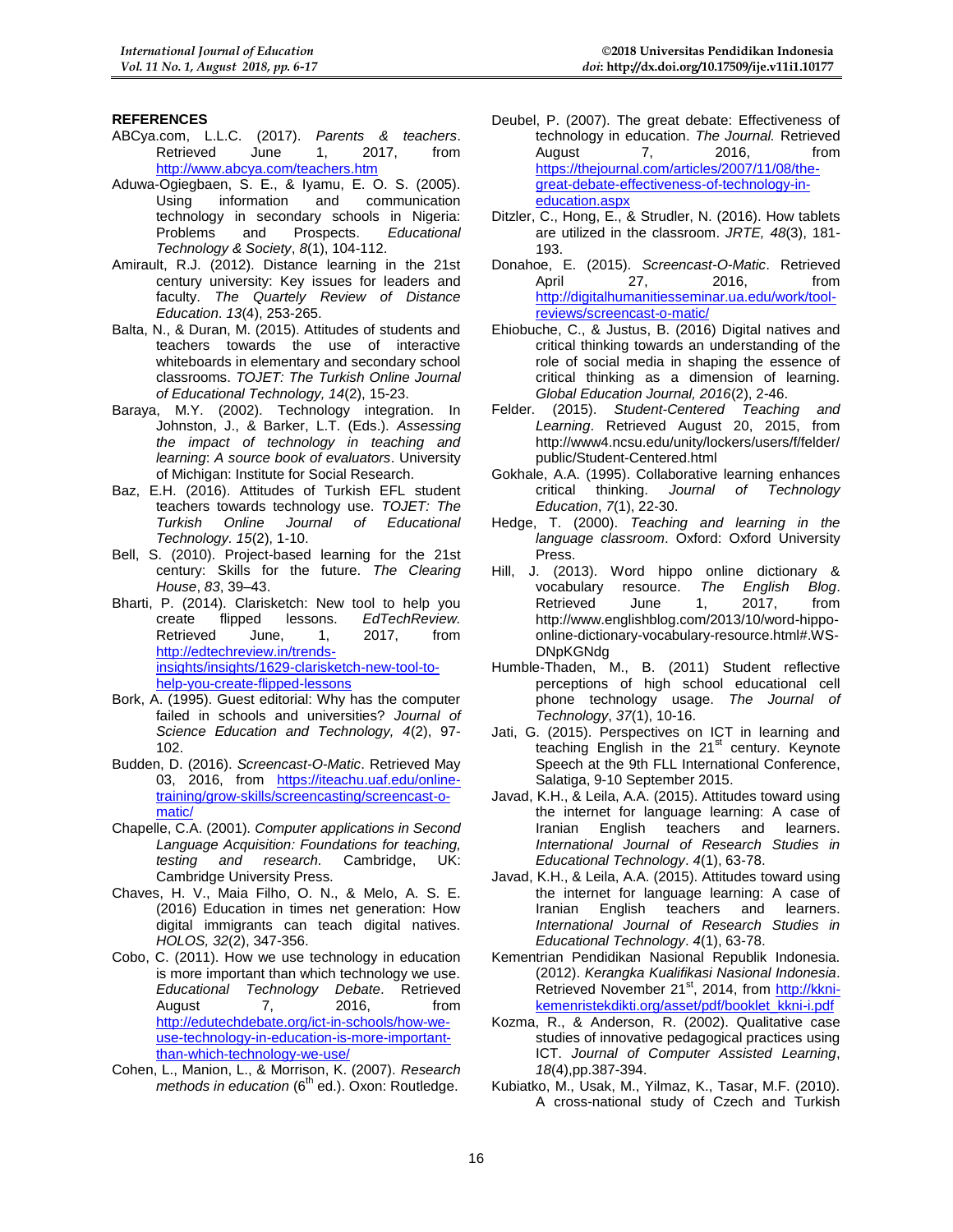# **REFERENCES**

- ABCya.com, L.L.C. (2017). *Parents & teachers*. Retrieved <http://www.abcya.com/teachers.htm>
- Aduwa-Ogiegbaen, S. E., & Iyamu, E. O. S. (2005). Using information and communication technology in secondary schools in Nigeria:<br>Problems and Prospects. Educational Problems and Prospects. *Educational Technology & Society*, *8*(1), 104-112.
- Amirault, R.J. (2012). Distance learning in the 21st century university: Key issues for leaders and faculty. *The Quartely Review of Distance Education*. *13*(4), 253-265.
- Balta, N., & Duran, M. (2015). Attitudes of students and teachers towards the use of interactive whiteboards in elementary and secondary school classrooms. *TOJET: The Turkish Online Journal of Educational Technology, 14*(2), 15-23.
- Baraya, M.Y. (2002). Technology integration. In Johnston, J., & Barker, L.T. (Eds.). *Assessing the impact of technology in teaching and learning*: *A source book of evaluators*. University of Michigan: Institute for Social Research.
- Baz, E.H. (2016). Attitudes of Turkish EFL student teachers towards technology use. *TOJET: The Turkish Online Journal of Educational Technology. 15*(2), 1-10.
- Bell, S. (2010). Project-based learning for the 21st century: Skills for the future. *The Clearing House*, *83*, 39–43.
- Bharti, P. (2014). Clarisketch: New tool to help you<br>create flipped lessons. EdTechReview. create flipped lessons. *EdTechReview.* Retrieved [http://edtechreview.in/trends](http://edtechreview.in/trends-insights/insights/1629-clarisketch-new-tool-to-help-you-create-flipped-lessons)[insights/insights/1629-clarisketch-new-tool-to](http://edtechreview.in/trends-insights/insights/1629-clarisketch-new-tool-to-help-you-create-flipped-lessons)[help-you-create-flipped-lessons](http://edtechreview.in/trends-insights/insights/1629-clarisketch-new-tool-to-help-you-create-flipped-lessons)
- Bork, A. (1995). Guest editorial: Why has the computer failed in schools and universities? *Journal of Science Education and Technology, 4*(2), 97- 102.
- Budden, D. (2016). *Screencast-O-Matic*. Retrieved May 03, 2016, from [https://iteachu.uaf.edu/online](https://iteachu.uaf.edu/online-training/grow-skills/screencasting/screencast-o-matic/)[training/grow-skills/screencasting/screencast-o](https://iteachu.uaf.edu/online-training/grow-skills/screencasting/screencast-o-matic/)[matic/](https://iteachu.uaf.edu/online-training/grow-skills/screencasting/screencast-o-matic/)
- Chapelle, C.A. (2001). *Computer applications in Second Language Acquisition: Foundations for teaching, testing and research.* Cambridge University Press.
- Chaves, H. V., Maia Filho, O. N., & Melo, A. S. E. (2016) Education in times net generation: How digital immigrants can teach digital natives. *HOLOS, 32*(2), 347-356.
- Cobo, C. (2011). How we use technology in education is more important than which technology we use. *Educational Technology Debate*. Retrieved August 7, 2016, from [http://edutechdebate.org/ict-in-schools/how-we](http://edutechdebate.org/ict-in-schools/how-we-use-technology-in-education-is-more-important-than-which-technology-we-use/)[use-technology-in-education-is-more-important](http://edutechdebate.org/ict-in-schools/how-we-use-technology-in-education-is-more-important-than-which-technology-we-use/)[than-which-technology-we-use/](http://edutechdebate.org/ict-in-schools/how-we-use-technology-in-education-is-more-important-than-which-technology-we-use/)
- Cohen, L., Manion, L., & Morrison, K. (2007). *Research methods in education* (6<sup>th</sup> ed.). Oxon: Routledge.
- Deubel, P. (2007). The great debate: Effectiveness of technology in education. *The Journal.* Retrieved August [https://thejournal.com/articles/2007/11/08/the](https://thejournal.com/articles/2007/11/08/the-great-debate-effectiveness-of-technology-in-education.aspx)[great-debate-effectiveness-of-technology-in](https://thejournal.com/articles/2007/11/08/the-great-debate-effectiveness-of-technology-in-education.aspx)[education.aspx](https://thejournal.com/articles/2007/11/08/the-great-debate-effectiveness-of-technology-in-education.aspx)
- Ditzler, C., Hong, E., & Strudler, N. (2016). How tablets are utilized in the classroom. *JRTE, 48*(3), 181- 193.
- Donahoe, E. (2015). *Screencast-O-Matic*. Retrieved April 27, 2016, from [http://digitalhumanitiesseminar.ua.edu/work/tool](http://digitalhumanitiesseminar.ua.edu/work/tool-reviews/screencast-o-matic/)[reviews/screencast-o-matic/](http://digitalhumanitiesseminar.ua.edu/work/tool-reviews/screencast-o-matic/)
- Ehiobuche, C., & Justus, B. (2016) Digital natives and critical thinking towards an understanding of the role of social media in shaping the essence of critical thinking as a dimension of learning. *Global Education Journal, 2016*(2), 2-46.
- Felder. (2015). *Student-Centered Teaching and Learning*. Retrieved August 20, 2015, from http://www4.ncsu.edu/unity/lockers/users/f/felder/ public/Student-Centered.html
- Gokhale, A.A. (1995). Collaborative learning enhances critical thinking. *Journal of Technology Education*, *7*(1), 22-30.
- Hedge, T. (2000). *Teaching and learning in the language classroom*. Oxford: Oxford University Press.
- Hill, J. (2013). Word hippo online dictionary & vocabulary resource. *The English Blog*. Retrieved June 1, 2017, from [http://www.englishblog.com/2013/10/word-hippo](http://www.englishblog.com/2013/10/word-hippo-online-dictionary-vocabulary-resource.html#.WS-DNpKGNdg)[online-dictionary-vocabulary-resource.html#.WS-](http://www.englishblog.com/2013/10/word-hippo-online-dictionary-vocabulary-resource.html#.WS-DNpKGNdg)[DNpKGNdg](http://www.englishblog.com/2013/10/word-hippo-online-dictionary-vocabulary-resource.html#.WS-DNpKGNdg)
- Humble-Thaden, M., B. (2011) Student reflective perceptions of high school educational cell phone technology usage. *The Journal of Technology*, *37*(1), 10-16.
- Jati, G. (2015). Perspectives on ICT in learning and teaching English in the 21<sup>st</sup> century. Keynote Speech at the 9th FLL International Conference, Salatiga, 9-10 September 2015.
- Javad, K.H., & Leila, A.A. (2015). Attitudes toward using the internet for language learning: A case of Iranian English teachers and learners. *International Journal of Research Studies in Educational Technology*. *4*(1), 63-78.
- Javad, K.H., & Leila, A.A. (2015). Attitudes toward using the internet for language learning: A case of Iranian English teachers and learners. *International Journal of Research Studies in Educational Technology*. *4*(1), 63-78.
- Kementrian Pendidikan Nasional Republik Indonesia. (2012). *Kerangka Kualifikasi Nasional Indonesia*. Retrieved November 21<sup>st</sup>, 2014, from [http://kkni](http://kkni-kemenristekdikti.org/asset/pdf/booklet_kkni-i.pdf)[kemenristekdikti.org/asset/pdf/booklet\\_kkni-i.pdf](http://kkni-kemenristekdikti.org/asset/pdf/booklet_kkni-i.pdf)
- Kozma, R., & Anderson, R. (2002). Qualitative case studies of innovative pedagogical practices using ICT. *Journal of Computer Assisted Learning*, *18*(4),pp.387-394.
- Kubiatko, M., Usak, M., Yilmaz, K., Tasar, M.F. (2010). A cross-national study of Czech and Turkish